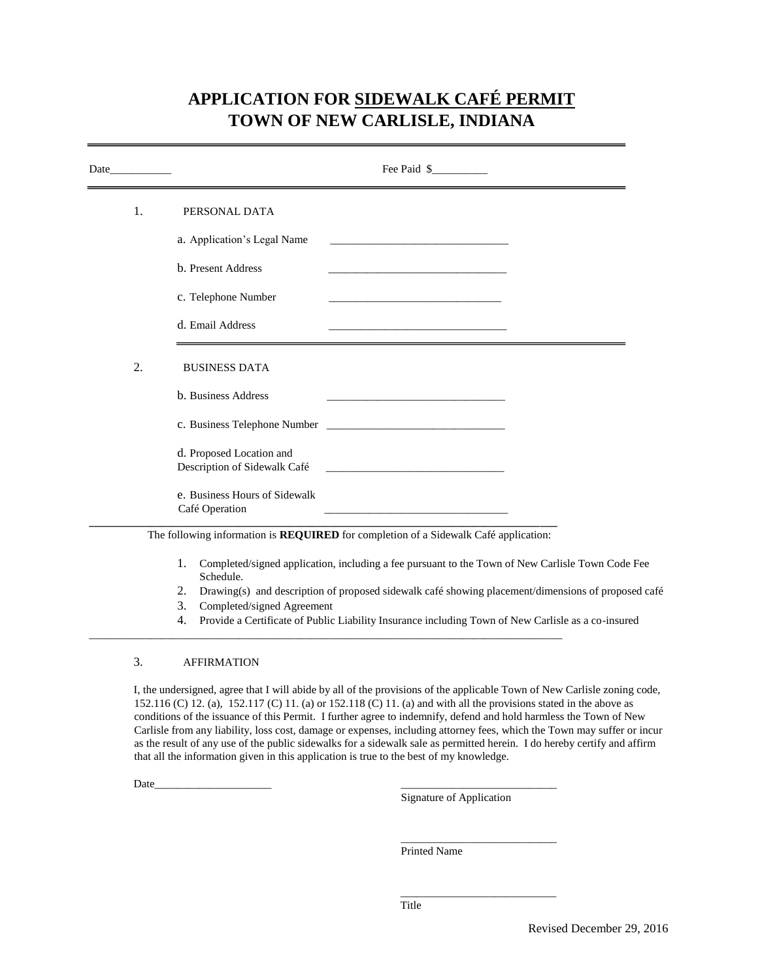## **APPLICATION FOR SIDEWALK CAFÉ PERMIT TOWN OF NEW CARLISLE, INDIANA**

|    | Fee Paid \$                                                                                                                                                                                                                                                                                                                                                      |
|----|------------------------------------------------------------------------------------------------------------------------------------------------------------------------------------------------------------------------------------------------------------------------------------------------------------------------------------------------------------------|
| 1. | PERSONAL DATA                                                                                                                                                                                                                                                                                                                                                    |
|    | a. Application's Legal Name<br><u> 1989 - Johann Barbara, martxa alemaniar a</u>                                                                                                                                                                                                                                                                                 |
|    | b. Present Address<br><u> 1980 - Johann John Stein, market fan it ferskearre fan it ferskearre fan it ferskearre fan it ferskearre fan i</u>                                                                                                                                                                                                                     |
|    | c. Telephone Number<br><u> 1989 - Johann John Harry Harry Harry Harry Harry Harry Harry Harry Harry Harry Harry Harry Harry Harry Harry H</u>                                                                                                                                                                                                                    |
|    | d. Email Address                                                                                                                                                                                                                                                                                                                                                 |
| 2. | <b>BUSINESS DATA</b>                                                                                                                                                                                                                                                                                                                                             |
|    | b. Business Address<br><u> 1980 - An Dùbhlachd ann an Dùbhlachd ann an Dùbhlachd ann an Dùbhlachd ann an Dùbhlachd ann an Dùbhlachd ann </u>                                                                                                                                                                                                                     |
|    |                                                                                                                                                                                                                                                                                                                                                                  |
|    | d. Proposed Location and<br>Description of Sidewalk Café                                                                                                                                                                                                                                                                                                         |
|    | e. Business Hours of Sidewalk<br>Café Operation<br>the control of the control of the control of the control of the control of the control of                                                                                                                                                                                                                     |
|    | The following information is <b>REQUIRED</b> for completion of a Sidewalk Café application:                                                                                                                                                                                                                                                                      |
|    | Completed/signed application, including a fee pursuant to the Town of New Carlisle Town Code Fee<br>1.<br>Schedule.<br>$\mathcal{L}(\mathcal{N})$ and the contract of the contract of the contract of the contract of the contract of the contract of the contract of the contract of the contract of the contract of the contract of the contract of the contra |

- 2. Drawing(s) and description of proposed sidewalk café showing placement/dimensions of proposed café
- 3. Completed/signed Agreement

\_\_\_\_\_\_\_\_\_\_\_\_\_\_\_\_\_\_\_\_\_\_\_\_\_\_\_\_\_\_\_\_\_\_\_\_\_\_\_\_\_\_\_\_\_\_\_\_\_\_\_\_\_\_\_\_\_\_\_\_\_\_\_\_\_\_\_\_\_\_\_\_\_\_\_\_\_\_\_\_\_\_\_\_\_

4. Provide a Certificate of Public Liability Insurance including Town of New Carlisle as a co-insured

## 3. AFFIRMATION

I, the undersigned, agree that I will abide by all of the provisions of the applicable Town of New Carlisle zoning code, 152.116 (C) 12. (a), 152.117 (C) 11. (a) or 152.118 (C) 11. (a) and with all the provisions stated in the above as conditions of the issuance of this Permit. I further agree to indemnify, defend and hold harmless the Town of New Carlisle from any liability, loss cost, damage or expenses, including attorney fees, which the Town may suffer or incur as the result of any use of the public sidewalks for a sidewalk sale as permitted herein. I do hereby certify and affirm that all the information given in this application is true to the best of my knowledge.

Date\_\_\_\_\_\_\_\_\_\_\_\_\_\_\_\_\_\_\_\_\_ \_\_\_\_\_\_\_\_\_\_\_\_\_\_\_\_\_\_\_\_\_\_\_\_\_\_\_\_

Signature of Application

 $\overline{\phantom{a}}$  , and the set of the set of the set of the set of the set of the set of the set of the set of the set of the set of the set of the set of the set of the set of the set of the set of the set of the set of the s

\_\_\_\_\_\_\_\_\_\_\_\_\_\_\_\_\_\_\_\_\_\_\_\_\_\_\_\_

Printed Name

Title